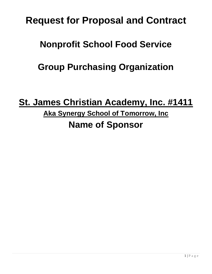# **Request for Proposal and Contract**

## **Nonprofit School Food Service**

## **Group Purchasing Organization**

## **St. James Christian Academy, Inc. #1411 Aka Synergy School of Tomorrow, Inc Name of Sponsor**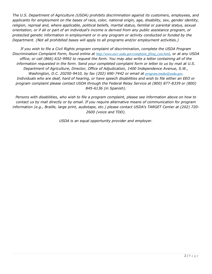*The U.S. Department of Agriculture (USDA) prohibits discrimination against its customers, employees, and applicants for employment on the bases of race, color, national origin, age, disability, sex, gender identity, religion, reprisal and, where applicable, political beliefs, marital status, familial or parental status, sexual orientation, or if all or part of an individual's income is derived from any public assistance program, or protected genetic information in employment or in any program or activity conducted or funded by the Department. (Not all prohibited bases will apply to all programs and/or employment activities.)*

*If you wish to file a Civil Rights program complaint of discrimination, complete the USDA Program Discrimination Complaint Form, found online at [http://www.ascr.usda.gov/complaint\\_filing\\_cust.html](http://www.ascr.usda.gov/complaint_filing_cust.html), or at any USDA office, or call (866) 632-9992 to request the form. You may also write a letter containing all of the information requested in the form. Send your completed complaint form or letter to us by mail at U.S. Department of Agriculture, Director, Office of Adjudication, 1400 Independence Avenue, S.W., Washington, D.C. 20250-9410, by fax (202) 690-7442 or email at [program.intake@usda.gov](http://program.intake@usda.gov/). Individuals who are deaf, hard of hearing, or have speech disabilities and wish to file either an EEO or program complaint please contact USDA through the Federal Relay Service at (800) 877-8339 or (800) 845-6136 (in Spanish).*

*Persons with disabilities, who wish to file a program complaint, please see information above on how to contact us by mail directly or by email. If you require alternative means of communication for program information (e.g., Braille, large print, audiotape, etc.) please contact USDA's TARGET Center at (202) 720- 2600 (voice and TDD).*

*USDA is an equal opportunity provider and employer.*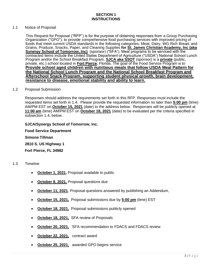#### 1.1 Notice of Proposal

This Request for Proposal ("RFP") is for the purpose of obtaining responses from a Group Purchasing Organization ("GPO"), to provide comprehensive food purchasing services with improved pricing of foods that meet current USDA standards in the following categories: Meat, Dairy, WG Rich Bread, and Grains, Produce, Snacks, Paper, and Cleaning Supplies **for St. James Christian Academy, Inc (aka Synergy School of Tomorrow, Inc)** (sponsor) ("SFA"). Meal programs to be serviced with the contracted items include the United States Department of Agriculture ("USDA") National School Lunch Program and/or the School Breakfast Program. **SJCA aka SSOT** (sponsor) is a **private** (public, private, etc.) school located in **Fort Pierce**, Florida. The goal of the Food Service Program is to **Provide school aged children with nutritious meals that follow USDA Meal Pattern for the National School Lunch Program and the National School Breakfast Program and Afterschool Snack Program, supporting student physical qrowth. brain development, resistance to disease, emotional stability and ability to learn.**

#### 1.2 Proposal Submission

Responses should address the requirements set forth in this RFP. Responses must include the requested items set forth in 1.4. Please provide the requested information no later than **5:00 pm** (time) AM/PM EST on **October 15, 2021** (date) to the address below. Responses will be publicly opened at **11:00 am** (time) AM/PM EST on **October 18, 2021** (date) to be evaluated per the criteria specified in subsection 1.4, below.

#### **SJCA/Synergy School of Tomorrow, Inc.**

**Food Service Department Simone Tillman 2810 S. US Highway 1 Fort Pierce, FL 34982**

#### 1.3 Timeline

- **October 1, 2021, Proposal available to public**
- **October 8, 2021,** Proposal questions due
- **October 11, 2021**, Proposal questions answered by publishing an Addendum,
- **October 15, 2021,** Proposal submissions due by **5:00 pm** (time) EST
- **October 18, 2021, Proposal submissions publicly opened**
- **October 18, 2021,** SFA review of Proposals
- **October 20, 2021,** SFA recommendation to FDACS and FDACS review
- **October 22, 2021,** contract award
- **October 25, 2021,** awarded GPO begins service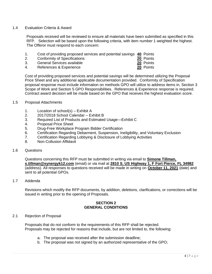#### 1.4 Evaluation Criteria & Award

Proposals received will be reviewed to ensure all materials have been submitted as specified in this RFP. Selection will be based upon the following criteria, with item number 1 weighted the highest. The Offeror must respond to each concern:

- 1. Cost of providing proposed services and potential savings **40** Points
- 2. Conformity of Specifications<br>
3. General Services available<br>
20 Points
- 3. General Services available
- 4. References & Experience **20** Points

Cost of providing proposed services and potential savings will be determined utilizing the Proposal Price Sheet and any additional applicable documentation provided. Conformity of Specification proposal response must include information on methods GPO will utilize to address items in, Section 3 Scope of Work and Section 5 GPO Responsibilities. References & Experience response is required. Contract award decision will be made based on the GPO that receives the highest evaluation score.

#### 1.5 Proposal Attachments

- 1. Location of school(s) Exhibit A
- 2. 2017/2018 School Calendar Exhibit B
- 3. Required List of Products and Estimated Usage—Exhibit C
- 4. Proposal Price Sheet
- 5. Drug-Free Workplace Program Bidder Certification
- 6. Certification Regarding Debarment, Suspension, Ineligibility, and Voluntary Exclusion
- 7. Certification Regarding Lobbying & Disclosure of Lobbying Activities
- 8. Non-Collusion Affidavit
- 1.6 Questions

Questions concerning this RFP must be submitted in writing via email to **Simone Tillman, s.tillman@synergyk12.com** (email) or via mail at **2810 S. US Highway 1, F Fort Pierce, FL 34982** (address). All responses to questions received will be made in writing on **October 11, 2021** (date) and sent to all potential GPOs.

1.7 Addenda

Revisions which modify the RFP documents, by addition, deletions, clarifications, or corrections will be issued in writing prior to the opening of Proposals.

#### **SECTION 2 GENERAL CONDITIONS**

#### 2.1 Rejection of Proposal

Proposals that do not conform to the requirements of this RFP shall be rejected. Proposals may be rejected for reasons that include, but are not limited to, the following:

- a. The proposal was received after the submission deadline;
- b. The proposal was not signed by an authorized representative of the GPO;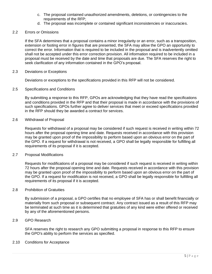- c. The proposal contained unauthorized amendments, deletions, or contingencies to the requirements of the RFP;
- d. The proposal was incomplete or contained significant inconsistencies or inaccuracies.

#### 2.2 Errors or Omissions

If the SFA determines that a proposal contains a minor irregularity or an error, such as a transposition, extension or footing error in figures that are presented, the SFA may allow the GPO an opportunity to correct the error. Information that is required to be included in the proposal and is inadvertently omitted shall not be accepted under this error correction provision. All information required to be included in a proposal must be received by the date and time that proposals are due. The SFA reserves the right to seek clarification of any information contained in the GPO's proposal.

#### 2.3 Deviations or Exceptions

Deviations or exceptions to the specifications provided in this RFP will not be considered.

#### 2.5 Specifications and Conditions

By submitting a response to this RFP, GPOs are acknowledging that they have read the specifications and conditions provided in the RFP and that their proposal is made in accordance with the provisions of such specifications. GPOs further agree to deliver services that meet or exceed specifications provided in the RFP should they be awarded a contract for services.

#### 2.6 Withdrawal of Proposal

Requests for withdrawal of a proposal may be considered if such request is received in writing within 72 hours after the proposal opening time and date. Requests received in accordance with this provision may be granted upon proof of the impossibility to perform based upon an obvious error on the part of the GPO. If a request for withdrawal is not received, a GPO shall be legally responsible for fulfilling all requirements of its proposal if it is accepted.

#### 2.7 Proposal Modifications

Requests for modifications of a proposal may be considered if such request is received in writing within 72 hours after the proposal opening time and date. Requests received in accordance with this provision may be granted upon proof of the impossibility to perform based upon an obvious error on the part of the GPO. If a request for modification is not received, a GPO shall be legally responsible for fulfilling all requirements of its proposal if it is accepted.

#### 2.8 Prohibition of Gratuities

By submission of a proposal, a GPO certifies that no employee of SFA has or shall benefit financially or materially from such proposal or subsequent contract. Any contract issued as a result of this RFP may be terminated at such time as it is determined that gratuities of any kind were either offered or received by any of the aforementioned persons.

#### 2.9 GPO Research

SFA reserves the right to research any GPO submitting a proposal in response to this RFP to ensure the GPO's ability to perform the services as specified.

#### 2.10 Conditions for Acceptance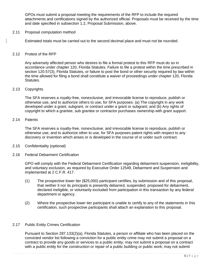GPOs must submit a proposal meeting the requirements of the RFP to include the required attachments and certifications signed by the authorized official. Proposals must be received by the time and date specified in subsection 1.2, Proposal Submission, above.

#### 2.11 Proposal computation method

Estimated totals must be carried out to the second decimal place and must not be rounded.

#### 2.12 Protest of the RFP

Any adversely affected person who desires to file a formal protest to this RFP must do so in accordance under chapter 120, Florida Statutes. Failure to file a protest within the time prescribed in section 120.57(3), Florida Statutes, or failure to post the bond or other security required by law within the time allowed for filing a bond shall constitute a waiver of proceedings under chapter 120, Florida Statutes.

#### 2.13 Copyrights

The SFA reserves a royalty-free, nonexclusive, and irrevocable license to reproduce, publish or otherwise use, and to authorize others to use, for SFA purposes: (a) The copyright in any work developed under a grant, subgrant, or contract under a grant or subgrant; and (b) Any rights of copyright to which a grantee, sub grantee or contractor purchases ownership with grant support.

#### 2.14 Patents

The SFA reserves a royalty-free, nonexclusive, and irrevocable license to reproduce, publish or otherwise use, and to authorize other to use, for SFA purposes patent rights with respect to any discovery or invention which arises or is developed in the course of or under such contract.

- 2.15 Confidentiality (optional)
- 2.16 Federal Debarment Certification

GPO will comply with the Federal Debarment Certification regarding debarment suspension, ineligibility, and voluntary exclusion, as required by Executive Order 12549, Debarment and Suspension and implemented at 2 C.F.R. 417.

- (1) The prospective lower tier (\$25,000) participant certifies, by submission and of this proposal, that neither it nor its principals is presently debarred, suspended, proposed for debarment, declared ineligible, or voluntarily excluded from participation in this transaction by any federal department or agency.
- (2) Where the prospective lower tier participant is unable to certify to any of the statements in this certification, such prospective participants shall attach an explanation to this proposal.

#### 2.17 Public Entity Crimes Certification

Pursuant to Section 287.133(2)(a), Florida Statutes, a person or affiliate who has been placed on the convicted vendor list following a conviction for a public entity crime may not submit a proposal on a contract to provide any goods or services to a public entity; may not submit a proposal on a contract with a public entity for the construction or repair of a public building or public work; may not submit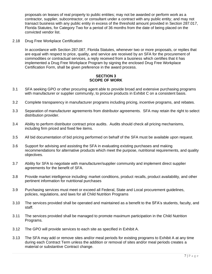proposals on leases of real property to public entities; may not be awarded or perform work as a contractor, supplier, subcontractor, or consultant under a contract with any public entity; and may not transact business with any public entity in excess of the threshold amount provided in Section 287.017, Florida Statutes, for Category Two for a period of 36 months from the date of being placed on the convicted vendor list.

2.18 Drug Free Workplace Certification

In accordance with Section 287.087, Florida Statutes, whenever two or more proposals, or replies that are equal with respect to price, quality, and service are received by an SFA for the procurement of commodities or contractual services, a reply received from a business which certifies that it has implemented a Drug Free Workplace Program by signing the enclosed Drug Free Workplace Certification Form, shall be given preference in the award process.

#### **SECTION 3 SCOPE OF WORK**

- 3.1 SFA seeking GPO or other procuring agent able to provide broad and extensive purchasing programs with manufacturer or supplier community, to procure products in Exhibit C on a consistent basis.
- 3.2 Complete transparency in manufacturer programs including pricing, incentive programs, and rebates.
- 3.3 Separation of manufacturer agreements from distributor agreements. SFA may retain the right to select distribution provider.
- 3.4 Ability to perform distributor contract price audits. Audits should check all pricing mechanisms, including firm priced and fixed fee items.
- 3.5 All bid documentation of bid pricing performed on behalf of the SFA must be available upon request.
- 3.6 Support for advising and assisting the SFA in evaluating existing purchases and making recommendations for alternative products which meet the purpose, nutritional requirements, and quality objectives.
- 3.7 Ability for SFA to negotiate with manufacturer/supplier community and implement direct supplier agreements for the benefit of SFA.
- 3.8 Provide market intelligence including: market conditions, product recalls, product availability, and other pertinent information for nutritional purchases
- 3.9 Purchasing services must meet or exceed all Federal, State and Local procurement guidelines, policies, regulations, and laws for all Child Nutrition Programs
- 3.10 The services provided shall be operated and maintained as a benefit to the SFA's students, faculty, and staff.
- 3.11 The services provided shall be managed to promote maximum participation in the Child Nutrition Programs.
- 3.12 The GPO will provide services to each site as specified in Exhibit A.
- 3.13 The SFA may add or remove sites and/or meal periods for existing programs to Exhibit A at any time during each Contract Term unless the addition or removal of sites and/or meal periods creates a material or substantive Contract change.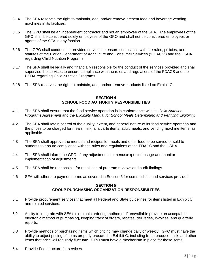- 3.14 The SFA reserves the right to maintain, add, and/or remove present food and beverage vending machines in its facilities.
- 3.15 The GPO shall be an independent contractor and not an employee of the SFA. The employees of the GPO shall be considered solely employees of the GPO and shall not be considered employees or agents of the SFA in any fashion.
- 3.16 The GPO shall conduct the provided services to ensure compliance with the rules, policies, and statutes of the Florida Department of Agriculture and Consumer Services ("FDACS") and the USDA regarding Child Nutrition Programs.
- 3.17 The SFA shall be legally and financially responsible for the conduct of the services provided and shall supervise the services to ensure compliance with the rules and regulations of the FDACS and the USDA regarding Child Nutrition Programs.
- 3.18 The SFA reserves the right to maintain, add, and/or remove products listed on Exhibit C.

#### **SECTION 4 SCHOOL FOOD AUTHORITY RESPONSIBILITIES**

- 4.1 The SFA shall ensure that the food service operation is in conformance with its *Child Nutrition Programs Agreement* and the *Eligibility Manual for School Meals Determining and Verifying Eligibility.*
- 4.2 The SFA shall retain control of the quality, extent, and general nature of its food service operation and the prices to be charged for meals, milk, a la carte items, adult meals, and vending machine items, as applicable.
- 4.3 The SFA shall approve the menus and recipes for meals and other food to be served or sold to students to ensure compliance with the rules and regulations of the FDACS and the USDA.
- 4.4 The SFA shall inform the GPO of any adjustments to menus/expected usage and monitor implementation of adjustments.
- 4.5 The SFA shall be responsible for resolution of program reviews and audit findings.
- 4.6 SFA will adhere to payment terms as covered in Section 6 for commodities and services provided.

#### **SECTION 5 GROUP PURCHASING ORGANIZATION RESPONSIBILITIES**

- 5.1 Provide procurement services that meet all Federal and State guidelines for items listed in Exhibit C and related services.
- 5.2 Ability to integrate with SFA's electronic ordering method or if unavailable provide an acceptable electronic method of purchasing, keeping track of orders, rebates, deliveries, invoices, and quarterly reports.
- 5.3 Provide methods of purchasing items which pricing may change daily or weekly. GPO must have the ability to adjust pricing of items properly procured in Exhibit C, including fresh produce, milk, and other items that price will regularly fluctuate. GPO must have a mechanism in place for these items.
- 5.4 Provide Fee structure for services.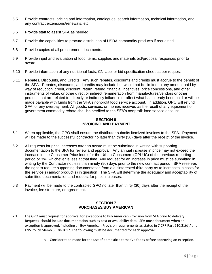- 5.5 Provide contracts, pricing and information, catalogues, search information, technical information, and any contract extensions/renewals, etc.
- 5.6 Provide staff to assist SFA as needed.
- 5.7 Provide the capabilities to procure distribution of USDA commodity products if requested.
- 5.8 Provide copies of all procurement documents.
- 5.9 Provide input and evaluation of food items, supplies and materials bid/proposal responses prior to award.
- 5.10 Provide information of any nutritional facts, CN label or bid specification sheet as per request
- 5.11 Rebates, Discounts, and Credits: Any such rebates, discounts and credits must accrue to the benefit of the SFA. Rebates, discounts, and credits may include but would not be limited to any amount paid by way of reduction, credit, discount, return, refund, financial incentives, price concessions, and other instruments of value, or other direct or indirect remuneration from manufactures/vendors or other persons that are related to, directly or indirectly influence or affect what has already been paid or will be made payable with funds from the SFA's nonprofit food service account. In addition, GPO will refund SFA for any overpayment. All goods, services, or monies received as the result of any equipment or government commodity rebate shall be credited to the SFA's nonprofit food service account

#### **SECTION 6 INVOICING AND PAYMENT**

- 6.1 When applicable, the GPO shall ensure the distributor submits itemized invoices to the SFA. Payment will be made to the successful contractor no later than thirty (30) days after the receipt of the invoice.
- 6.2 All requests for price increases after an award must be submitted in writing with supporting documentation to the SFA for review and approval. Any annual increase in price may not exceed the increase in the Consumer Price Index for the Urban Consumers (CPI-UC) of the previous reporting period or 3%, whichever is less at that time. Any request for an increase in price must be submitted in writing by the Contractor not less than ninety (90) days prior to the new contract period. SFA reserves the right to require supporting documentation from a disinterested third party as to increases in costs for the service(s) and/or product(s) in question. The SFA will determine the adequacy and acceptability of submitted documentation and request for price increases.
- 6.3 Payment will be made to the contracted GPO no later than thirty (30) days after the receipt of the invoice, fee structure, or agreement.

#### **SECTION 7 PURCHASES/BUY AMERICAN**

- 7.1 The GPO must request for approval for exceptions to Buy American Provision from SFA prior to delivery. Requests should include documentation such as cost or availability data. SFA must document when an exception is approved, including all Buy American Provision requirements as stated in 7 CFR Part 210.21(d)/ and FNS Policy Memo SP 38-2017. The following must be documented for each approval:
	- $\circ$  Consideration made for the use of domestic alternative foods before approving an exception.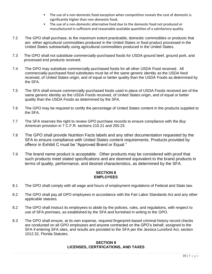- **•** The use of a non-domestic food exception when competition reveals the cost of domestic is significantly higher than non-domestic food.
- The use of a non-domestic alternative food due to the domestic food not produced or manufactured in sufficient and reasonable available quantities of a satisfactory quality.
- 7.2 The GPO shall purchase, to the maximum extent practicable, domestic commodities or products that are either agricultural commodities produced in the United States or food product processed in the United States substantially using agricultural commodities produced in the United States.
- 7.3 The GPO shall not substitute commercially-purchased foods for USDA ground beef, ground pork, and processed end products received.
- 7.4 The GPO may substitute commercially-purchased foods for all other USDA Food received. All commercially-purchased food substitutes must be of the same generic identity as the USDA food received, of United States origin, and of equal or better quality than the USDA Foods as determined by the SFA.
- 7.5 The SFA shall ensure commercially-purchased foods used in place of USDA Foods received are of the same generic identity as the USDA Foods received, of United States origin, and of equal or better quality than the USDA Foods as determined by the SFA.
- 7.6 The GPO may be required to certify the percentage of United States content in the products supplied to the SFA.
- 7.7 The SFA reserves the right to review GPO purchase records to ensure compliance with the *Buy American* provision in 7 C.F.R. sections 210.21 and 250.23.
- 7.8 The GPO shall provide Nutrition Facts labels and any other documentation requested by the SFA to ensure compliance with United States content requirements. Products provided by offeror in Exhibit C must be "Approved Brand or Equal."
- 7.9 The brand name product is acceptable. Other products may be considered with proof that such products meet stated specifications and are deemed equivalent to the brand products in terms of quality, performance, and desired characteristics, as determined by the SFA.

### **SECTION 8 EMPLOYEES**

- 8.1 The GPO shall comply with all wage and hours of employment regulations of Federal and State law.
- 8.2 The GPO shall pay all GPO employees in accordance with the Fair Labor Standards Act and any other applicable statutes.
- 8.2 The GPO shall instruct its employees to abide by the policies, rules, and regulations, with respect to use of SFA premises, as established by the SFA and furnished in writing to the GPO.
- 8.3 The GPO shall ensure, at its own expense, required fingerprint-based criminal history record checks are conducted on all GPO employees and anyone contracted on the GPO's behalf, assigned to the SFA if entering SFA sites, and results are provided to the SFA per the Jessica Lunsford Act, section 1012.32, Florida Statutes.

#### **SECTION 9 LICENSES, CERTIFICATIONS, AND TAXES**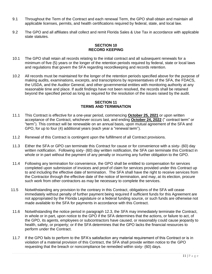- 9.1 Throughout the Term of the Contract and each renewal Term, the GPO shall obtain and maintain all applicable licenses, permits, and health certifications required by federal, state, and local law.
- 9.2 The GPO and all affiliates shall collect and remit Florida Sales & Use Tax in accordance with applicable state statutes.

#### **SECTION 10 RECORD KEEPING**

- 10.1 The GPO shall retain all records relating to the initial contract and all subsequent renewals for a minimum of five (5) years or the longer of the retention periods required by federal, state or local laws and regulations that govern the SFA regarding recordkeeping and records retention.
- 10.2 All records must be maintained for the longer of the retention periods specified above for the purpose of making audits, examinations, excerpts, and transcriptions by representatives of the SFA, the FDACS, the USDA, and the Auditor General, and other governmental entities with monitoring authority at any reasonable time and place. If audit findings have not been resolved, the records shall be retained beyond the specified period as long as required for the resolution of the issues raised by the audit.

#### **SECTION 11 TERMS AND TERMINATION**

- 11.1 This Contract is effective for a one-year period, commencing **October 25, 2021** or upon written acceptance of the Contract, whichever occurs last, and ending **October 24, 2022** (" contract term" or "term"). This contract will be renewable on an annual basis, upon mutual agreement of the SFA and GPO, for up to four (4) additional years (each year a "renewal term").
- 11.2 Renewal of this Contract is contingent upon the fulfillment of all Contract provisions.
- 11.3 Either the SFA or GPO can terminate this Contract for cause or for convenience with a sixty- (60) day written notification. Following sixty- (60) day written notification, the SFA can terminate this Contract in whole or in part without the payment of any penalty or incurring any further obligation to the GPO.
- 11.4 Following any termination for convenience, the GPO shall be entitled to compensation for services completed upon submission of invoices and proof of claim for services provided under this Contract up to and including the effective date of termination. The SFA shall have the right to receive services from the Contractor through the effective date of the notice of termination, and may, at its election, procure such work from other contractors as may be necessary to complete the services.
- 11.5 Notwithstanding any provision to the contrary in this Contract, obligations of the SFA will cease immediately without penalty of further payment being required if sufficient funds for this Agreement are not appropriated by the Florida Legislature or a federal funding source, or such funds are otherwise not made available to the SFA for payments in accordance with this Contract.
- 11.6 Notwithstanding the notice period in paragraph 12.3, the SFA may immediately terminate the Contract, in whole or in part, upon notice to the GPO if the SFA determines that the actions, or failure to act, of the GPO, its agents, employees or subcontractors have caused, or reasonably could cause jeopardy to health, safety, or property; or if the SFA determines that the GPO lacks the financial resources to perform under the Contract.
- 11.7 If the GPO fails to perform to the SFA's satisfaction any material requirement of this Contract or is in violation of a material provision of this Contract, the SFA shall provide written notice to the GPO requesting that the breach or noncompliance be remedied within sixty- (60) days.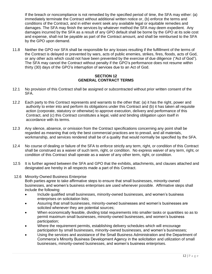If the breach or noncompliance is not remedied by the specified period of time, the SFA may either: (a) immediately terminate the Contract without additional written notice or, (b) enforce the terms and conditions of the Contract, and in either event seek any available legal or equitable remedies and damages. The SFA may finish the services by whatever method the SFA may deem expedient. Any damages incurred by the SFA as a result of any GPO default shall be borne by the GPO at its sole cost and expense, shall not be payable as part of the Contract amount, and shall be reimbursed to the SFA by the GPO upon demand.

11.8 Neither the GPO nor SFA shall be responsible for any losses resulting if the fulfillment of the terms of the Contract is delayed or prevented by wars, acts of public enemies, strikes, fires, floods, acts of God, or any other acts which could not have been prevented by the exercise of due diligence ("Act of God"). The SFA may cancel the Contract without penalty if the GPO's performance does not resume within thirty (30) days of the GPO's interruption of services due to an Act of God.

#### **SECTION 12 GENERAL CONTRACT TERMS**

- 12.1 No provision of this Contract shall be assigned or subcontracted without prior written consent of the SFA.
- 12.2 Each party to this Contract represents and warrants to the other that: (a) it has the right, power and authority to enter into and perform its obligations under this Contract and (b) it has taken all requisite action (corporate, statutory or otherwise) to approve execution, delivery and performance of this Contract, and (c) this Contract constitutes a legal, valid and binding obligation upon itself in accordance with its terms.
- 12.3 Any silence, absence, or omission from the Contract specifications concerning any point shall be regarded as meaning that only the best commercial practices are to prevail, and all materials, workmanship, and services rendered shall be of a quality that would normally be specified by the SFA.
- 12.4 No course of dealing or failure of the SFA to enforce strictly any term, right, or condition of this Contract shall be construed as a waiver of such term, right, or condition. No express waiver of any term, right, or condition of this Contract shall operate as a waiver of any other term, right, or condition.
- 12.5 It is further agreed between the SFA and GPO that the exhibits, attachments, and clauses attached and designated are hereby in all respects made a part of this Contract.
- 12.6 Minority-Owned Business Enterprise

Both parties agree to take affirmative steps to ensure that small businesses, minority-owned businesses, and women's business enterprises are used whenever possible. Affirmative steps shall include the following:

- Include qualified small businesses, minority-owned businesses, and women's business enterprises on solicitation lists;
- Assuring that small businesses, minority-owned businesses and women's businesses are solicited whenever they are potential sources;
- When economically feasible, dividing total requirements into smaller tasks or quantities so as to permit maximum small businesses, minority-owned businesses, and women's business participation;
- Where the requirement permits, establishing delivery schedules which will encourage participation by small businesses, minority-owned businesses, and women's businesses;
- Using the services and assistance of the Small Business Administration and the Department of Commerce's Minority Business Development Agency in the solicitation and utilization of small businesses, minority-owned businesses, and women's business enterprises.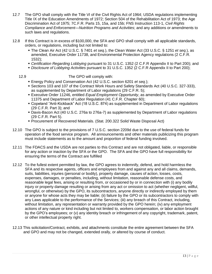- 12.7 The GPO shall comply with the Title VI of the Civil Rights Act of 1964; USDA regulations implementing Title IX of the Education Amendments of 1972; Section 504 of the Rehabilitation Act of 1973; the Age Discrimination Act of 1975; 7C.F.R. Parts 15, 15a, and 15b; FNS Instruction 113-1, *Civil Rights Compliance and Enforcement—Nutrition Programs and Activities*; and any additions or amendments to such laws and regulations.
- 12.8 If this Contract is in excess of \$100,000, the SFA and GPO shall comply with all applicable standards, orders, or regulations, including but not limited to:
	- The Clean Air Act (42 U.S.C. § 7401 *et seq.*), the Clean Water Act (33 U.S.C. § 1251 *et seq.*), as amended, Executive Order 11738, and Environmental Protection Agency regulations (2 C.F.R. 1532);
	- *Certification Regarding Lobbying* pursuant to 31 U.S.C. 1352 (2 C.F.R Appendix II to Part 200); and
	- *Disclosure of Lobbying Activities* pursuant to 31 U.S.C. 1352 (2 C.F.R Appendix II to Part 200);
	-

12.9 The GPO will comply with:

- Energy Policy and Conservation Act (42 U.S.C. section 6201 *et seq.*);
- Sections 103 and 107 of the Contract Work Hours and Safety Standards Act (40 U.S.C. 327-333), as supplemented by Department of Labor regulations (29 C.F.R. 5);
- **Executive Order 11246, entitled** *Equal Employment Opportunity***, as amended by Executive Order** 11375 and Department of Labor Regulation (41 C.F.R. Chapter 60);
- Copeland "Anti-Kickback" Act (18 U.S.C. 874) as supplemented in Department of Labor regulations (29 C.F.R. Part 3); and
- Davis-Bacon Act (40 U.S.C. 276a to 276a-7) as supplemented by Department of Labor regulations (29 C.F.R. Part 5).
- Procurement of Recovered Materials. (Stat. 200.322 Solid Waste Disposal Act)
- 12.10 The GPO is subject to the provisions of 7 U.S.C. section 2209d due to the use of federal funds for operation of the food service program. All announcements and other materials publicizing this program must include statements as to the amount and proportion of federal funding involved.
- 12.11 The FDACS and the USDA are not parties to this Contract and are not obligated, liable, or responsible for any action or inaction by the SFA or the GPO. The SFA and the GPO have full responsibility for ensuring the terms of the Contract are fulfilled
- 12.12 To the fullest extent permitted by law, the GPO agrees to indemnify, defend, and hold harmless the SFA and its respective agents, officers and employees from and against any and all claims, demands, suits, liabilities, injuries (personal or bodily), property damage, causes of action, losses, costs, expenses, damages, or penalties, including, without limitation, reasonable defense costs, and reasonable legal fees, arising or resulting from, or occasioned by or in connection with (i) any bodily injury or property damage resulting or arising from any act or omission to act (whether negligent, willful, wrongful, or otherwise) by the GPO, its subcontractors, anyone directly or indirectly employed by them or anyone for whose acts they may be liable; (ii) failure by the GPO or its subcontractors to comply with any Laws applicable to the performance of the Services; (iii) any breach of this Contract, including, without limitation, any representation or warranty provided by the GPO herein; (iv) any employment actions of any nature or kind including but not limited to, workers compensation, or labor action brought by the GPO's employees; or (v) any identity breach or infringement of any copyright, trademark, patent, or other intellectual property right.
- 12.13 This solicitation/Contract, exhibits, and attachments constitute the entire agreement between the SFA and GPO and may not be changed, extended orally, or altered by course of conduct.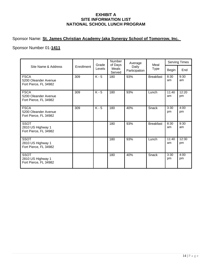### **EXHIBIT A SITE INFORMATION LIST NATIONAL SCHOOL LUNCH PROGRAM**

## Sponsor Name: **St. James Christian Academy (aka Synergy School of Tomorrow, Inc.\_**

## Sponsor Number 01-**1411**

| Site Name & Address                                          | Enrollment | Grade<br>Levels | Number<br>of Days<br>Meals<br>Served | Average<br>Daily<br>Participation | Meal<br><b>Type</b> | <b>Serving Times</b> |             |
|--------------------------------------------------------------|------------|-----------------|--------------------------------------|-----------------------------------|---------------------|----------------------|-------------|
|                                                              |            |                 |                                      |                                   |                     | <b>Begin</b>         | End         |
| <b>FSCA</b><br>5200 Oleander Avenue<br>Fort Pierce, FL 34982 | 309        | $K - 5$         | 180                                  | 93%                               | <b>Breakfast</b>    | 8:30<br>am           | 9:30<br>am  |
| <b>FSCA</b><br>5200 Oleander Avenue<br>Fort Pierce, FL 34982 | 309        | $K - 5$         | 180                                  | 93%                               | Lunch               | 11:40<br>am          | 12:20<br>pm |
| <b>FSCA</b><br>5200 Oleander Avenue<br>Fort Pierce, FL 34982 | 309        | $K - 5$         | 180                                  | 40%                               | Snack               | 3:30<br>pm           | 4:00<br>pm  |
| <b>SSOT</b><br>2810 US Highway 1<br>Fort Pierce, FL 34982    |            |                 | 180                                  | 93%                               | <b>Breakfast</b>    | 8:30<br>am           | 9:30<br>am  |
| <b>SSOT</b><br>2810 US Highway 1<br>Fort Pierce, FL 34982    |            |                 | 180                                  | 93%                               | Lunch               | 11:40<br>am          | 12:30<br>pm |
| <b>SSOT</b><br>2810 US Highway 1<br>Fort Pierce, FL 34982    |            |                 | 180                                  | 40%                               | Snack               | 3:30<br>pm           | 4:00<br>pm  |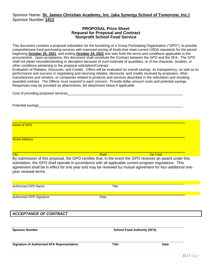### Sponsor Name: **St. James Christian Academy, Inc. (aka Synergy School of Tomorrow, Inc.)** Sponsor Number **1411**

#### **PROPOSAL Price Sheet Request for Proposal and Contract Nonprofit School Food Service**

This document contains a proposal solicitation for the furnishing of a Group Purchasing Organization ("GPO"), to provide comprehensive food purchasing services with improved pricing of foods that meet current USDA standards for the period beginning **October 25, 2021**, and ending **October 24, 2022** and sets forth the terms and conditions applicable to the procurement. Upon acceptance, this document shall constitute the Contract between the GPO and the SFA. The GPO shall not plead misunderstanding or deception because of such estimate of quantities, or of the character, location, or other conditions pertaining to the proposal solicitation/Contract.

Evaluation of Rebates, Discounts, and Credits: Offers will be evaluated on overall savings, its transparency, as well as its performance and success in negotiating and returning rebates, discounts, and credits received by proposers, other manufactures and vendors, or companies related to products and services described in the solicitation and resulting awarded contract. The Offeror must respond to each concern. Provide dollar amount costs and potential savings. Responses may be provided as attachments, list attachment below if applicable:

| <b>City</b>                          | <b>State</b> | <b>Zip Code</b> |  |
|--------------------------------------|--------------|-----------------|--|
|                                      |              |                 |  |
| <b>Street Address</b>                |              |                 |  |
|                                      |              |                 |  |
| Name of GPO                          |              |                 |  |
|                                      |              |                 |  |
|                                      |              |                 |  |
| Potential savings                    |              |                 |  |
|                                      |              |                 |  |
| Cost of providing proposed services_ |              |                 |  |

By submission of this proposal, the GPO certifies that, in the event the GPO receives an award under this solicitation, the GPO shall operate in accordance with all applicable current program regulations. This agreement shall be in effect for one year and may be renewed by mutual agreement for four additional oneyear renewal terms.

| Authorized GPO Name                               | Title                              |             |  |
|---------------------------------------------------|------------------------------------|-------------|--|
| Authorized GPO Signature                          | Date                               |             |  |
|                                                   |                                    |             |  |
| <b>ACCEPTANCE OF CONTRACT</b>                     |                                    |             |  |
|                                                   |                                    |             |  |
| <b>Sponsor Number</b>                             | <b>School Food Authority (SFA)</b> |             |  |
| <b>Signature of Authorized SFA Representative</b> | <b>Title</b>                       | <b>Date</b> |  |
|                                                   |                                    |             |  |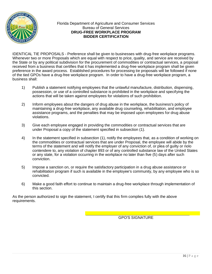

Florida Department of Agriculture and Consumer Services Bureau of General Services **DRUG-FREE WORKPLACE PROGRAM BIDDER CERTIFICATION**

IDENTICAL TIE PROPOSALS - Preference shall be given to businesses with drug-free workplace programs. Whenever two or more Proposals which are equal with respect to price, quality, and service are received by the State or by any political subdivision for the procurement of commodities or contractual services, a proposal received from a business that certifies that it has implemented a drug-free workplace program shall be given preference in the award process. Established procedures for processing tie proposals will be followed if none of the tied GPOs have a drug-free workplace program. In order to have a drug-free workplace program, a business shall:

- 1) Publish a statement notifying employees that the unlawful manufacture, distribution, dispensing, possession, or use of a controlled substance is prohibited in the workplace and specifying the actions that will be taken against employees for violations of such prohibition.
- 2) Inform employees about the dangers of drug abuse in the workplace, the business's policy of maintaining a drug-free workplace, any available drug counseling, rehabilitation, and employee assistance programs, and the penalties that may be imposed upon employees for drug abuse violations.
- 3) Give each employee engaged in providing the commodities or contractual services that are under Proposal a copy of the statement specified in subsection (1).
- 4) In the statement specified in subsection (1), notify the employees that, as a condition of working on the commodities or contractual services that are under Proposal, the employee will abide by the terms of the statement and will notify the employer of any conviction of, or plea of guilty or nolo contendere to, any violation of chapter 893 or of any controlled substance law of the United States or any state, for a violation occurring in the workplace no later than five (5) days after such conviction.
- 5) Impose a sanction on, or require the satisfactory participation in a drug abuse assistance or rehabilitation program if such is available in the employee's community, by any employee who is so convicted.
- 6) Make a good faith effort to continue to maintain a drug-free workplace through implementation of this section.

As the person authorized to sign the statement, I certify that this firm complies fully with the above requirements.

GPO'S SIGNATURE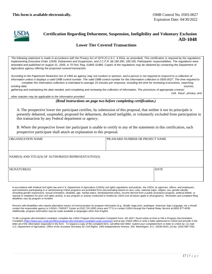

## **Certification Regarding Debarment, Suspension, Ineligibility and Voluntary Exclusion AD-1048**

#### **Lower Tier Covered Transactions**

*The following statement is made in accordance with the Privacy Act of 1974 (5 U.S.C. § 552a, as amended). This certification is required by the regulations implementing Executive Order 12549, Debarment and Suspension, and 2 C.F.R. §§ 180.300, 180.335, Participants' responsibilities. The regulations were amended and published on August 31, 2005, in 70 Fed. Reg. 51865-51880. Copies of the regulations may be obtained by contacting the Department of Agriculture agency offering the proposed covered transaction.* 

According to the Paperwork Reduction Act of 1995 an agency may not conduct or sponsor, and a person is not required to respond to a collection of *information unless it displays a valid OMB control number. The valid OMB control number for this information collection is 0505-0027. The time required to*  complete this information collection is estimated to average 15 minutes per response, including the time for reviewing instructions, searching

*existing data sources, gathering and maintaining the data needed, and completing and reviewing the collection of information. The provisions of appropriate criminal*

 *, civil, fraud , privacy, and* 

*other statutes may be applicable to the information provided.*

*(Read instructions on page two before completing certification.)* 

A.The prospective lower tier participant certifies, by submission of this proposal, that neither it nor its principals is presently debarred, suspended, proposed for debarment, declared ineligible, or voluntarily excluded from participation in this transaction by any Federal department or agency;

B. Where the prospective lower tier participant is unable to certify to any of the statements in this certification, such prospective participant shall attach an explanation to this proposal.

ORGANIZATION NAME PR/AWARD NUMBER OR PROJECT NAME

NAME(S) AND TITLE(S) OF AUTHORIZED REPRESENTATIVE(S)

| SIGNATURE(S) | <b>DATE</b> |
|--------------|-------------|
|              |             |
|              |             |

In accordance with Federal civil rights law and U.S. Department of Agriculture (USDA) civil rights regulations and policies, the USDA, its agencies, offices, and employees, and institutions participating in or administering USDA programs are prohibited from discriminating based on race, color, national origin, religion, sex, gender identity *(including gender expression), sexual orientation, disability, age, marital status, family/parental status, income derived from a public assistance program, political beliefs, or reprisal or retaliation for prior civil rights activity, in any program or activity conducted or funded by USDA (not all bases apply to all programs). Remedies and complaint filing deadlines vary by program or incident.* 

*Persons with disabilities who require alternative means of communication for program information (e.g., Braille, large print, audiotape, American Sign Language, etc.) should contact the responsible agency or USDA's TARGET Center at (202) 720-2600 (voice and TTY) or contact USDA through the Federal Relay Service at (800) 877-8339. Additionally, program information may be made available in languages other than English.* 

*To file a program discrimination complaint, complete the USDA Program Discrimination Complaint Form, AD-3027, found online at How to File a Program Discrimination*  Complaint [\(https://www.ascr.usda.gov/filing-program-discrimination-complaint-usda-customer\)](https://www.ascr.usda.gov/filing-program-discrimination-complaint-usda-customer) and at any USDA office or write a letter addressed to USDA and provide in the *letter all of the information requested in the form. To request a copy of the complaint form, call (866) 632-9992. Submit your completed form or letter to USDA by: (1) mail: U.S. Department of Agriculture, Office of the Assistant Secretary for Civil Rights, 1400 Independence Avenue, SW, Washington, D.C. 20250-9410; (2) fax: (202) 690-7442.*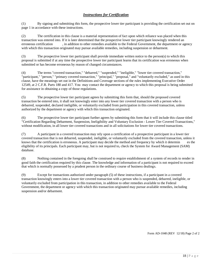#### *Instructions for Certification*

(1) By signing and submitting this form, the prospective lower tier participant is providing the certification set out on page 1 in accordance with these instructions.

(2) The certification in this clause is a material representation of fact upon which reliance was placed when this transaction was entered into. If it is later determined that the prospective lower tier participant knowingly rendered an erroneous certification , in addition to other remedies available to the Federal Government, the department or agency with which this transaction originated may pursue available remedies, including suspension or debarment.

(3) The prospective lower tier participant shall provide immediate written notice to the person(s) to which this proposal is submitted if at any time the prospective lower tier participant learns that its certification was erroneous when submitted or has become erroneous by reason of changed circumstances.

(4) The terms "covered transaction," "debarred," "suspended," "ineligible," "lower tier covered transaction," "participant," "person," "primary covered transaction," "principal," "proposal," and "voluntarily excluded," as used in this clause, have the meanings set out in the Definitions and Coverage sections of the rules implementing Executive Order 12549, at 2 C.F.R. Parts 180 and 417. You may contact the department or agency to which this proposal is being submitted for assistance in obtaining a copy of those regulations.

(5) The prospective lower tier participant agrees by submitting this form that, should the proposed covered transaction be entered into, it shall not knowingly enter into any lower tier covered transaction with a person who is debarred, suspended, declared ineligible, or voluntarily excluded from participation in this covered transaction, unless authorized by the department or agency with which this transaction originated.

(6) The prospective lower tier participant further agrees by submitting this form that it will include this clause titled "Certification Regarding Debarment, Suspension, Ineligibility and Voluntary Exclusion - Lower Tier Covered Transactions," without modification, in all lower tier covered transactions and in all solicitations for lower tier covered transactions.

(7) A participant in a covered transaction may rely upon a certification of a prospective participant in a lower tier covered transaction that is not debarred, suspended, ineligible, or voluntarily excluded from the covered transaction, unless it knows that the certification is erroneous. A participant may decide the method and frequency by which it determin es the eligibility of its principals. Each participant may, but is not required to, check the System for Award Management (SAM) database.

(8) Nothing contained in the foregoing shall be construed to require establishment of a system of records to render in good faith the certification required by this clause. The knowledge and information of a participant is not required to exceed that which is normally possessed by a prudent person in the ordinary course of business dealings.

(9) Except for transactions authorized under paragraph (5) of these instructions, if a participant in a covered transaction knowingly enters into a lower tier covered transaction with a person who is suspended, debarred, ineligible, or voluntarily excluded from participation in this transaction, in addition to other remedies available to the Federal Government, the department or agency with which this transaction originated may pursue available remedies, including suspension and/or debarment.

Form AD-1048 (REV 12/18) Page 2 of 2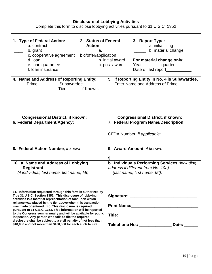#### **Disclosure of Lobbying Activities**

Complete this form to disclose lobbying activities pursuant to 31 U.S.C. 1352

| 1. Type of Federal Action:<br>a. contract<br>b. grant<br>c. cooperative agreement<br>d. loan<br>e. Ioan guarantee<br>f. loan insurance                                                                                                                                                                                                                                                                                                                                                                                                                                                                                                        | 2. Status of Federal<br><b>Action:</b><br>a.<br>bid/offer/application<br>b. initial award<br>c. post-award |                                                                                                                     | 3. Report Type:<br>a. initial filing<br>b. material change<br>For material change only:<br>Year ____________ quarter _________<br>Date of last report___________ |  |
|-----------------------------------------------------------------------------------------------------------------------------------------------------------------------------------------------------------------------------------------------------------------------------------------------------------------------------------------------------------------------------------------------------------------------------------------------------------------------------------------------------------------------------------------------------------------------------------------------------------------------------------------------|------------------------------------------------------------------------------------------------------------|---------------------------------------------------------------------------------------------------------------------|------------------------------------------------------------------------------------------------------------------------------------------------------------------|--|
| 4. Name and Address of Reporting Entity:<br>Subawardee<br>Prime<br>Tier_______, if Known:                                                                                                                                                                                                                                                                                                                                                                                                                                                                                                                                                     |                                                                                                            | 5. If Reporting Entity in No. 4 is Subawardee,<br>Enter Name and Address of Prime:                                  |                                                                                                                                                                  |  |
| <b>Congressional District, if known:</b><br>6. Federal Department/Agency:                                                                                                                                                                                                                                                                                                                                                                                                                                                                                                                                                                     |                                                                                                            | <b>Congressional District, if known:</b><br>7. Federal Program Name/Description:                                    |                                                                                                                                                                  |  |
| 8. Federal Action Number, if known:                                                                                                                                                                                                                                                                                                                                                                                                                                                                                                                                                                                                           |                                                                                                            | CFDA Number, if applicable:<br>9. Award Amount, if known:                                                           |                                                                                                                                                                  |  |
|                                                                                                                                                                                                                                                                                                                                                                                                                                                                                                                                                                                                                                               |                                                                                                            |                                                                                                                     |                                                                                                                                                                  |  |
| 10. a. Name and Address of Lobbying<br><b>Registrant</b><br>(if individual, last name, first name, MI):                                                                                                                                                                                                                                                                                                                                                                                                                                                                                                                                       |                                                                                                            | b. Individuals Performing Services (including<br>address if different from No. 10a)<br>(last name, first name, MI): |                                                                                                                                                                  |  |
| 11. Information requested through this form is authorized by<br>Title 31 U.S.C. Section 1352. This disclosure of lobbying<br>activities is a material representation of fact upon which<br>reliance was placed by the tier above when this transaction<br>was made or entered into. This disclosure is required<br>pursuant to 31 U.S.C. 1352. This information will be reported<br>to the Congress semi-annually and will be available for public<br>inspection. Any person who fails to file the required<br>disclosure shall be subject to a civil penalty of not less than<br>\$10,000 and not more than \$100,000 for each such failure. |                                                                                                            |                                                                                                                     | Telephone No.: ______________<br>Date:                                                                                                                           |  |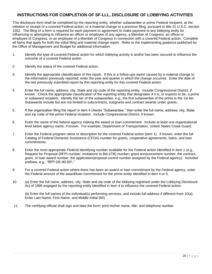## **INSTRUCTIONS FOR COMPLETION OF SF-LLL, DISCLOSURE OF LOBBYING ACTIVITIES**

This disclosure form shall be completed by the reporting entity, whether subawardee or prime Federal recipient, at the initiation or receipt of a covered Federal action, or a material change to a previous filing, pursuant to title 31 U.S.C. section 1352. The filing of a form is required for each payment or agreement to make payment to any lobbying entity for influencing or attempting to influence an officer or employee of any agency, a Member of Congress, an officer or employee of Congress, or an employee of a Member of Congress in connection with a covered Federal action. Complete all items that apply for both the initial filing and material change report. Refer to the implementing guidance published by the Office of Management and Budget for additional information.

- 1. Identify the type of covered Federal action for which lobbying activity is and/or has been secured to influence the outcome of a covered Federal action.
- 2. Identify the status of the covered Federal action.
- 3. Identify the appropriate classification of this report. If this is a follow-ups report caused by a material change to the information previously reported, enter the year and quarter in which the change occurred. Enter the date of the last previously submitted report by this reporting entity for this covered Federal action.
- 4. Enter the full name, address, city, State and zip code of the reporting entity. Include Congressional District, if known. Check the appropriate classification of the reporting entity that designates if it is, or expects to be, a prime or subaward recipient. Identify the tier of the subawardee, e.g., the first subawardee of the prime is the 1st tier. Subawards include but are not limited to subcontracts, subgrants and contract awards under grants.
- 5. If the organization filing the report in item 4 checks "Subawardee," then enter the full name, address, city, State and zip code of the prime Federal recipient. Include Congressional District, if known.
- 6. Enter the name of the federal agency making the award or loan commitment. Include at least one organizational level below agency name, if known. For example, Department of Transportation, United States Coast Guard.
- 7. Enter the Federal program name or description for the covered Federal action (item 1). If known, enter the full Catalog of Federal Domestic Assistance (CFDA) number for grants, cooperative agreements, loans, and loan commitments.
- 8. Enter the most appropriate Federal identifying number available for the Federal action identified in item 1 (e.g., Request for Proposal (RFP) number; Invitations to Bid (ITB) number; grant announcement number; the contract, grant, or loan award number; the application/proposal control number assigned by the Federal agency). Included prefixes, e.g., "RFP-DE-90-001."
- 9. For a covered Federal action where there has been an award or loan commitment by the Federal agency, enter the Federal amount of the award/loan commitment for the prime entity identified in item 4 or 5.
- 10. (a) Enter the full name, address, city, State and zip code of the lobbying registrant under the Lobbying Disclosure Act of 1995 engaged by the reporting entity identified in item 4 to influence the covered Federal action.

(b) Enter the full names of the individual(s) performing services, and include full address if different from 10(a). Enter Last Name, First Name, and Middle Initial (MI).

11. The certifying official shall sign and date the form; print his/her name, title, and telephone number.